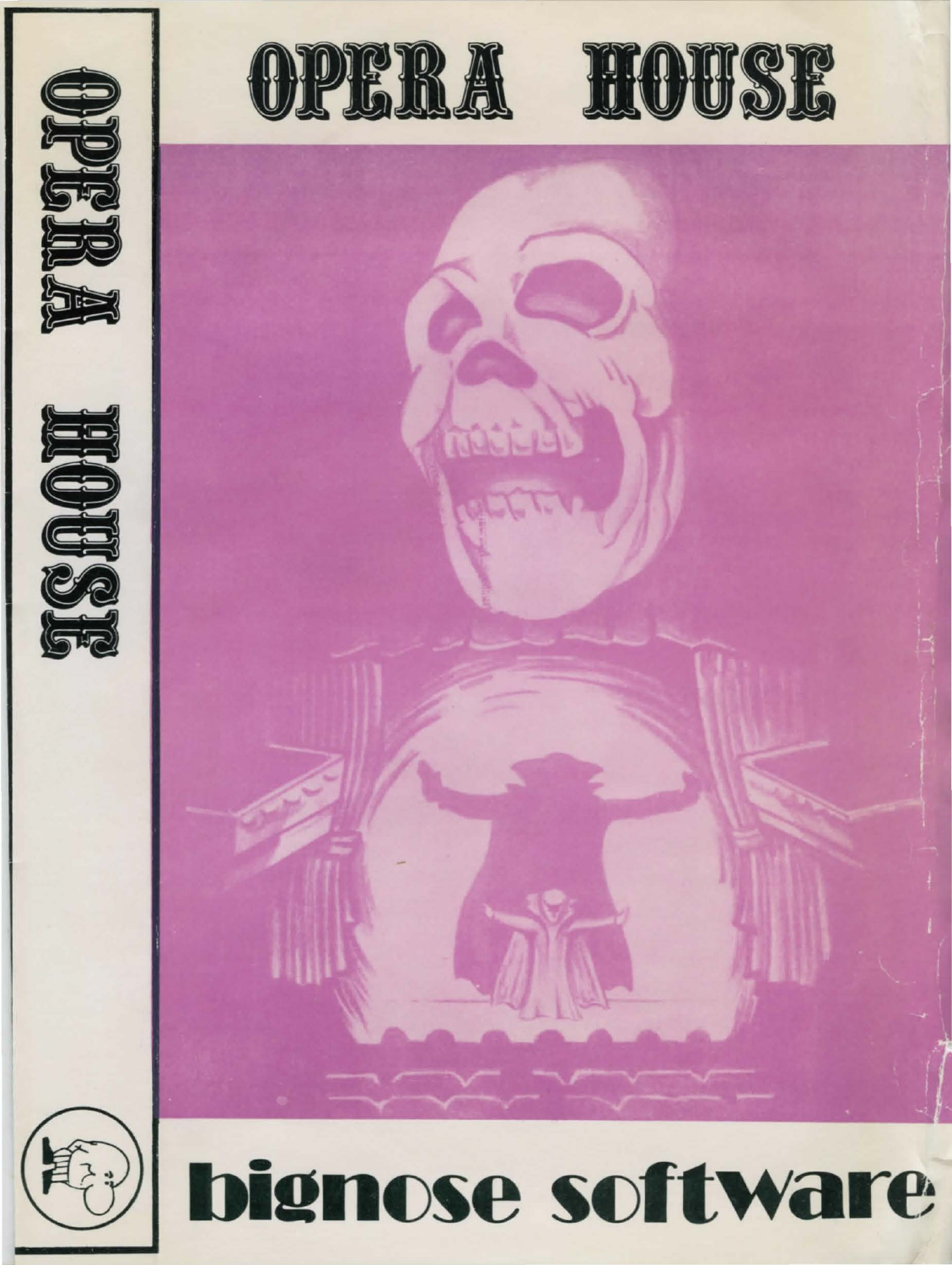

## PERA **HOUSE**



## bignose software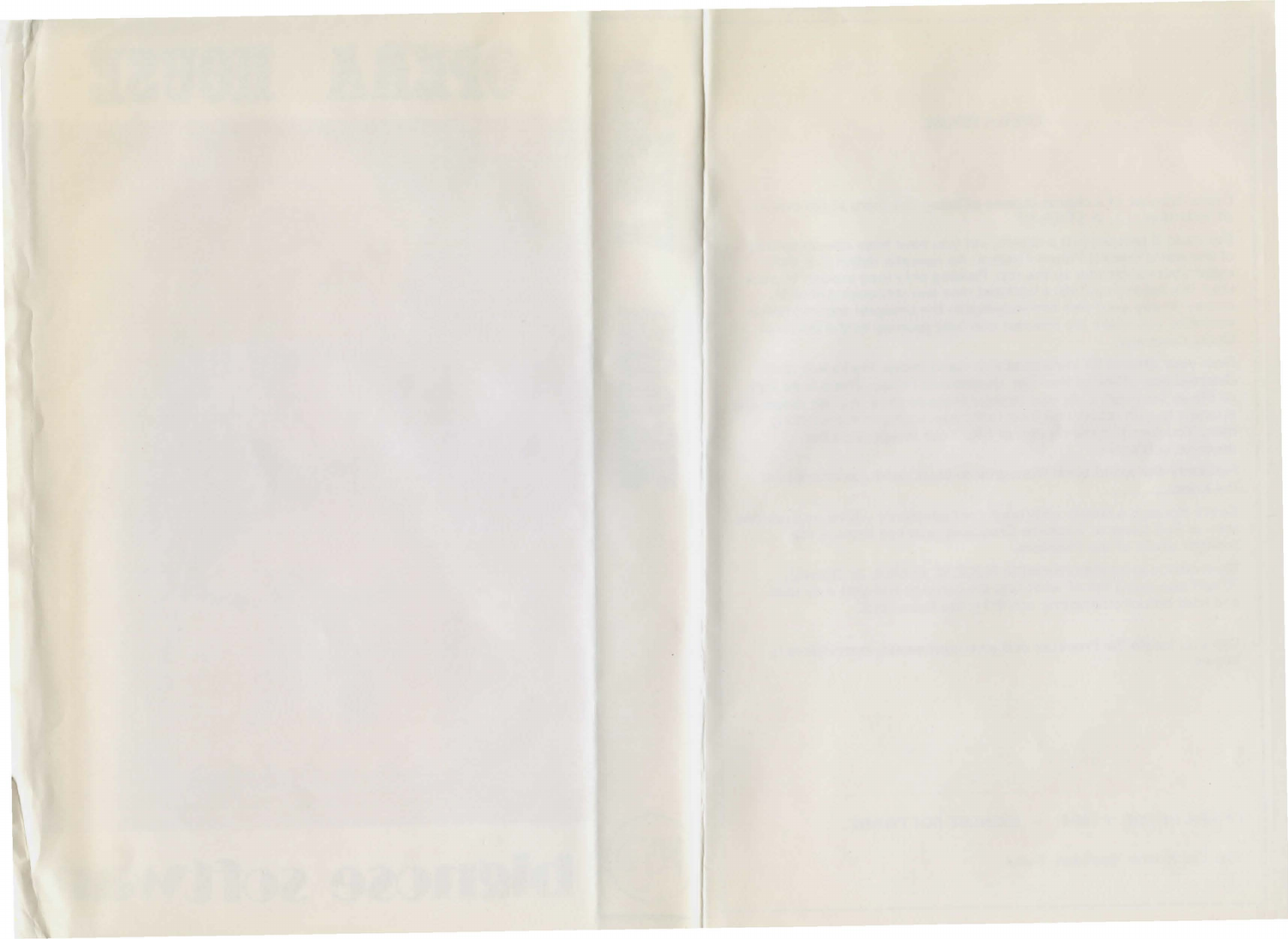